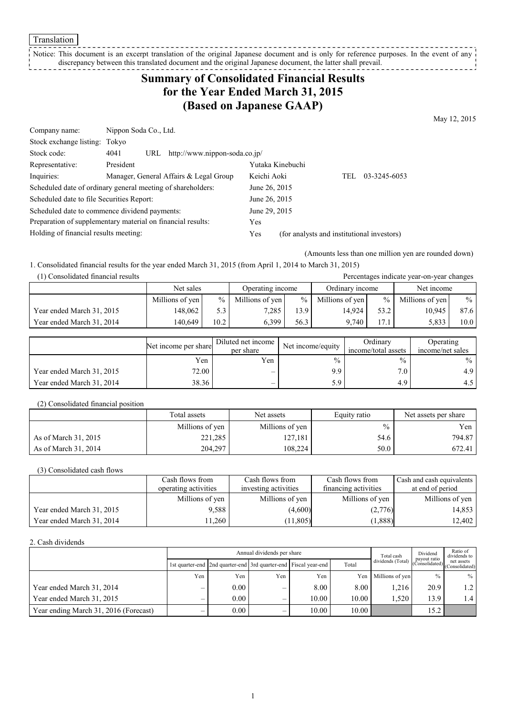Translation

Notice: This document is an excerpt translation of the original Japanese document and is only for reference purposes. In the event of any discrepancy between this translated document and the original Japanese document, the latter shall prevail. 

## **Summary of Consolidated Financial Results for the Year Ended March 31, 2015 (Based on Japanese GAAP)**

May 12, 2015

| Company name:                             | Nippon Soda Co., Ltd.                                       |                                                   |
|-------------------------------------------|-------------------------------------------------------------|---------------------------------------------------|
| Stock exchange listing: Tokyo             |                                                             |                                                   |
| Stock code:                               | http://www.nippon-soda.co.jp/<br>4041<br>URL                |                                                   |
| Representative:                           | President                                                   | Yutaka Kinebuchi                                  |
| Inquiries:                                | Manager, General Affairs & Legal Group                      | Keichi Aoki<br>03-3245-6053<br>TEL.               |
|                                           | Scheduled date of ordinary general meeting of shareholders: | June 26, 2015                                     |
| Scheduled date to file Securities Report: |                                                             | June 26, 2015                                     |
|                                           | Scheduled date to commence dividend payments:               | June 29, 2015                                     |
|                                           | Preparation of supplementary material on financial results: | Yes                                               |
| Holding of financial results meeting:     |                                                             | (for analysts and institutional investors)<br>Yes |

(Amounts less than one million yen are rounded down)

Percentages indicate year-on-year changes

1. Consolidated financial results for the year ended March 31, 2015 (from April 1, 2014 to March 31, 2015)

| (1) Consolidated financial results |  |  |
|------------------------------------|--|--|
|                                    |  |  |

|                           | Net sales       |                 | Operating income |                  | Ordinary income |               | Net income      |      |
|---------------------------|-----------------|-----------------|------------------|------------------|-----------------|---------------|-----------------|------|
|                           | Millions of yen | $\frac{0}{2}$ 1 | Millions of yen  | $\%$             | Millions of yen | $\frac{9}{6}$ | Millions of yen | $\%$ |
| Year ended March 31, 2015 | 148.062         | 5.3             | 7.285            | 3.9 <sub>1</sub> | 14.924          | 53.2          | 10.945          | 87.6 |
| Year ended March 31, 2014 | 140.649         | 10.2            | 6.399            | 56.3             | 9.740           | 17.5          | 5,833           | 10.0 |

|                           | Net income per share | Diluted net income<br>per share | Net income/equity | Ordinarv<br>income/total assets | <b>Operating</b><br>income/net sales |
|---------------------------|----------------------|---------------------------------|-------------------|---------------------------------|--------------------------------------|
|                           | Yen                  | Yen                             | $\frac{0}{0}$     | $\frac{0}{0}$                   | $\%$                                 |
| Year ended March 31, 2015 | 72.00                | $\overline{\phantom{a}}$        | 9.9               | $7.0_{1}$                       | 4.9                                  |
| Year ended March 31, 2014 | 38.36                | $\overline{\phantom{a}}$        | 5.9               | 4.9                             |                                      |

(2) Consolidated financial position

|                      | Total assets    | Net assets      | Equity ratio | Net assets per share |
|----------------------|-----------------|-----------------|--------------|----------------------|
|                      | Millions of yen | Millions of yen | $\%$         | Yen                  |
| As of March 31, 2015 | 221,285         | 127.181         | 54.6         | 794.87               |
| As of March 31, 2014 | 204,297         | 108.224         | 50.0         | 672.41               |

(3) Consolidated cash flows

|                           | Cash flows from      | Cash flows from      | Cash flows from      | Cash and cash equivalents |
|---------------------------|----------------------|----------------------|----------------------|---------------------------|
|                           | operating activities | investing activities | financing activities | at end of period          |
|                           | Millions of yen      | Millions of yen      | Millions of yen      | Millions of yen           |
| Year ended March 31, 2015 | 9.588                | (4,600)              | (2,776)              | 14,853                    |
| Year ended March 31, 2014 | 1.260                | (11,805)             | (1,888)              | 12,402                    |

#### 2. Cash dividends

|                                       |                          | Total cash | Dividend<br>payout ratio | Ratio of<br>dividends to                                        |       |                                                                                                     |      |             |
|---------------------------------------|--------------------------|------------|--------------------------|-----------------------------------------------------------------|-------|-----------------------------------------------------------------------------------------------------|------|-------------|
|                                       |                          |            |                          | 1st quarter-end 2nd quarter-end 3rd quarter-end Fiscal year-end | Total | dividends (Total) $\begin{bmatrix} \text{pugy} \\ \text{Consolidated} \end{bmatrix}$ (Consolidated) |      |             |
|                                       | Yen                      | Yen        | Yen                      | Yen                                                             |       | Yen Millions of yen                                                                                 | $\%$ | $\%$        |
| Year ended March 31, 2014             | -                        | 0.00       |                          | 8.00                                                            | 8.00  | 1.216                                                                                               | 20.9 | $1.2 \perp$ |
| Year ended March 31, 2015             | $\overline{\phantom{a}}$ | 0.00       | -                        | 10.00                                                           | 10.00 | 1.520                                                                                               | 13.9 | 1.4         |
| Year ending March 31, 2016 (Forecast) |                          | 0.00       |                          | 10.00                                                           | 10.00 |                                                                                                     | 15.2 |             |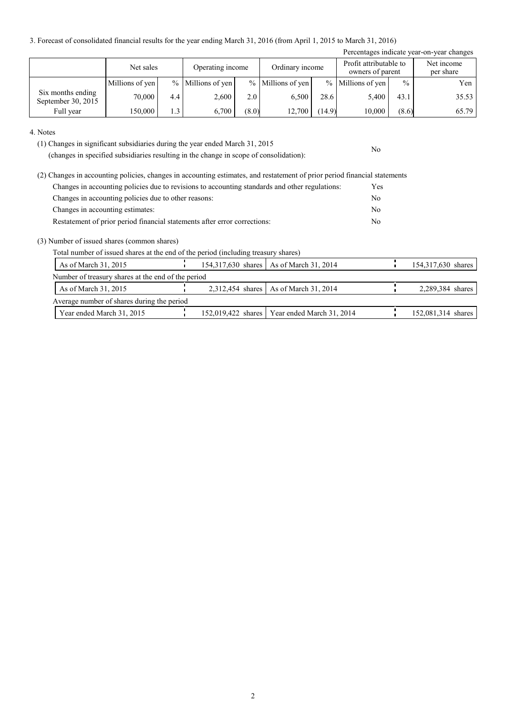3. Forecast of consolidated financial results for the year ending March 31, 2016 (from April 1, 2015 to March 31, 2016)

|                                         |                 |     |                     |       |                     |        |                                            |               | Percentages indicate year-on-year changes |
|-----------------------------------------|-----------------|-----|---------------------|-------|---------------------|--------|--------------------------------------------|---------------|-------------------------------------------|
|                                         | Net sales       |     | Operating income    |       | Ordinary income     |        | Profit attributable to<br>owners of parent |               | Net income<br>per share                   |
|                                         | Millions of yen |     | $%$ Millions of yen |       | $%$ Millions of yen |        | $%$ Millions of yen                        | $\frac{0}{0}$ | Yen                                       |
| Six months ending<br>September 30, 2015 | 70,000          | 4.4 | 2.600               | 2.0   | 6.500               | 28.6   | 5.400                                      | 43.1          | 35.53                                     |
| Full year                               | 150,000         | 1.3 | 6.700               | (8.0) | 12,700              | (14.9) | 10,000                                     | (8.6)         | 65.79                                     |

No

4. Notes

(1) Changes in significant subsidiaries during the year ended March 31, 2015

(changes in specified subsidiaries resulting in the change in scope of consolidation):

| (2) Changes in accounting policies, changes in accounting estimates, and restatement of prior period financial statements |                |
|---------------------------------------------------------------------------------------------------------------------------|----------------|
| Changes in accounting policies due to revisions to accounting standards and other regulations:                            | Yes            |
| Changes in accounting policies due to other reasons:                                                                      | N <sub>0</sub> |
| Changes in accounting estimates:                                                                                          | N <sub>0</sub> |
| Restatement of prior period financial statements after error corrections:                                                 | No             |

(3) Number of issued shares (common shares)

Total number of issued shares at the end of the period (including treasury shares)

| As of March 31, 2015                               |  | 154,317,630 shares   As of March 31, 2014      | 154,317,630 shares |
|----------------------------------------------------|--|------------------------------------------------|--------------------|
| Number of treasury shares at the end of the period |  |                                                |                    |
| As of March 31, 2015                               |  | 2,312,454 shares   As of March 31, 2014        | 2,289,384 shares   |
| Average number of shares during the period         |  |                                                |                    |
| Year ended March 31, 2015                          |  | 152,019,422 shares   Year ended March 31, 2014 | 152,081,314 shares |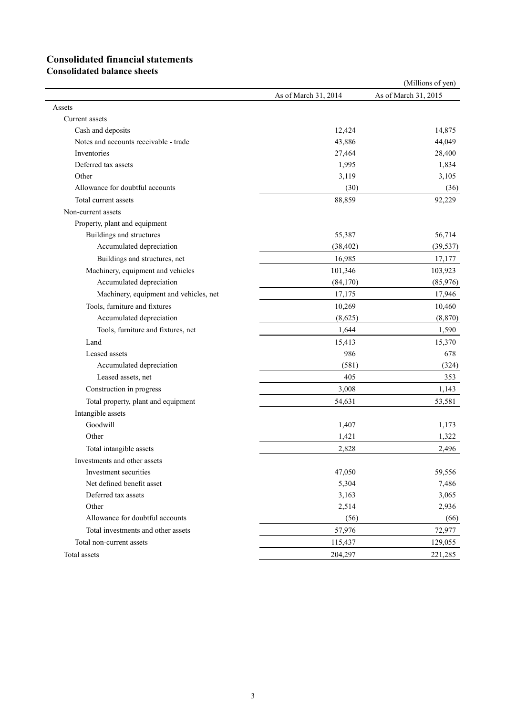# **Consolidated financial statements**

**Consolidated balance sheets**

|                                        |                      | (Millions of yen)    |
|----------------------------------------|----------------------|----------------------|
|                                        | As of March 31, 2014 | As of March 31, 2015 |
| Assets                                 |                      |                      |
| Current assets                         |                      |                      |
| Cash and deposits                      | 12,424               | 14,875               |
| Notes and accounts receivable - trade  | 43,886               | 44,049               |
| Inventories                            | 27,464               | 28,400               |
| Deferred tax assets                    | 1,995                | 1,834                |
| Other                                  | 3,119                | 3,105                |
| Allowance for doubtful accounts        | (30)                 | (36)                 |
| Total current assets                   | 88,859               | 92,229               |
| Non-current assets                     |                      |                      |
| Property, plant and equipment          |                      |                      |
| Buildings and structures               | 55,387               | 56,714               |
| Accumulated depreciation               | (38, 402)            | (39, 537)            |
| Buildings and structures, net          | 16,985               | 17,177               |
| Machinery, equipment and vehicles      | 101,346              | 103,923              |
| Accumulated depreciation               | (84,170)             | (85,976)             |
| Machinery, equipment and vehicles, net | 17,175               | 17,946               |
| Tools, furniture and fixtures          | 10,269               | 10,460               |
| Accumulated depreciation               | (8,625)              | (8, 870)             |
| Tools, furniture and fixtures, net     | 1,644                | 1,590                |
| Land                                   | 15,413               | 15,370               |
| Leased assets                          | 986                  | 678                  |
| Accumulated depreciation               | (581)                | (324)                |
| Leased assets, net                     | 405                  | 353                  |
| Construction in progress               | 3,008                | 1,143                |
| Total property, plant and equipment    | 54,631               | 53,581               |
| Intangible assets                      |                      |                      |
| Goodwill                               | 1,407                | 1,173                |
| Other                                  | 1,421                | 1,322                |
| Total intangible assets                | 2,828                | 2,496                |
| Investments and other assets           |                      |                      |
| Investment securities                  | 47,050               | 59,556               |
| Net defined benefit asset              | 5,304                | 7,486                |
| Deferred tax assets                    | 3,163                | 3,065                |
| Other                                  | 2,514                | 2,936                |
| Allowance for doubtful accounts        | (56)                 | (66)                 |
| Total investments and other assets     | 57,976               | 72,977               |
| Total non-current assets               | 115,437              | 129,055              |
| Total assets                           | 204,297              | 221,285              |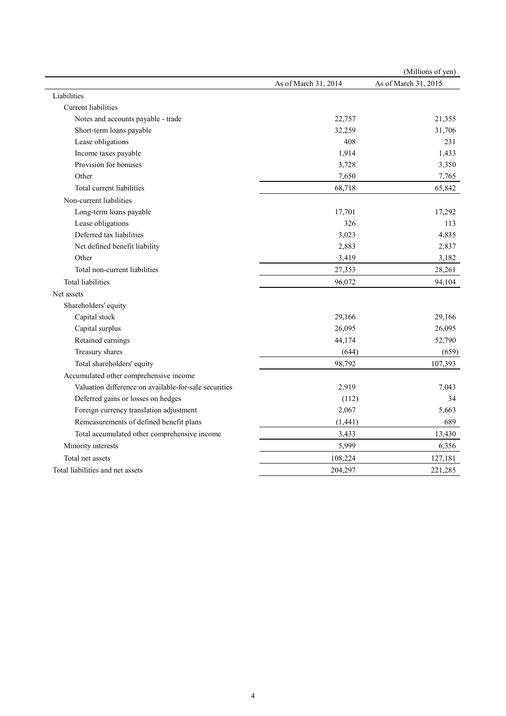|                                                       |                      | (Millions of yen)    |
|-------------------------------------------------------|----------------------|----------------------|
|                                                       | As of March 31, 2014 | As of March 31, 2015 |
| Liabilities                                           |                      |                      |
| Current liabilities                                   |                      |                      |
| Notes and accounts payable - trade                    | 22,757               | 21,355               |
| Short-term loans payable                              | 32,259               | 31,706               |
| Lease obligations                                     | 408                  | 231                  |
| Income taxes payable                                  | 1,914                | 1,433                |
| Provision for bonuses                                 | 3,728                | 3,350                |
| Other                                                 | 7,650                | 7,765                |
| Total current liabilities                             | 68,718               | 65,842               |
| Non-current liabilities                               |                      |                      |
| Long-term loans payable                               | 17,701               | 17,292               |
| Lease obligations                                     | 326                  | 113                  |
| Deferred tax liabilities                              | 3,023                | 4,835                |
| Net defined benefit liability                         | 2,883                | 2,837                |
| Other                                                 | 3,419                | 3,182                |
| Total non-current liabilities                         | 27,353               | 28,261               |
| <b>Total liabilities</b>                              | 96,072               | 94,104               |
| Net assets                                            |                      |                      |
| Shareholders' equity                                  |                      |                      |
| Capital stock                                         | 29,166               | 29,166               |
| Capital surplus                                       | 26,095               | 26,095               |
| Retained earnings                                     | 44,174               | 52,790               |
| Treasury shares                                       | (644)                | (659)                |
| Total shareholders' equity                            | 98,792               | 107,393              |
| Accumulated other comprehensive income                |                      |                      |
| Valuation difference on available-for-sale securities | 2,919                | 7,043                |
| Deferred gains or losses on hedges                    | (112)                | 34                   |
| Foreign currency translation adjustment               | 2,067                | 5,663                |
| Remeasurements of defined benefit plans               | (1, 441)             | 689                  |
| Total accumulated other comprehensive income          | 3,433                | 13,430               |
| Minority interests                                    | 5,999                | 6,356                |
| Total net assets                                      | 108,224              | 127,181              |
| Total liabilities and net assets                      | 204,297              | 221,285              |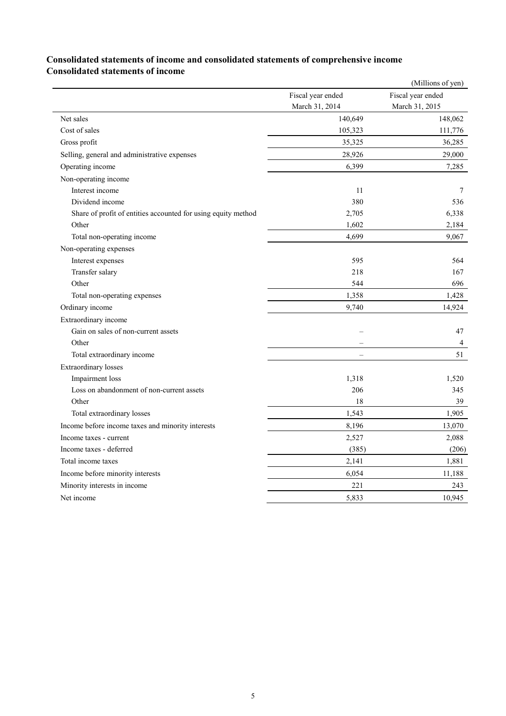#### **Consolidated statements of income and consolidated statements of comprehensive income Consolidated statements of income**

|                                                               |                   | (Millions of yen) |
|---------------------------------------------------------------|-------------------|-------------------|
|                                                               | Fiscal year ended | Fiscal year ended |
|                                                               | March 31, 2014    | March 31, 2015    |
| Net sales                                                     | 140,649           | 148,062           |
| Cost of sales                                                 | 105,323           | 111,776           |
| Gross profit                                                  | 35,325            | 36,285            |
| Selling, general and administrative expenses                  | 28,926            | 29,000            |
| Operating income                                              | 6,399             | 7,285             |
| Non-operating income                                          |                   |                   |
| Interest income                                               | 11                | 7                 |
| Dividend income                                               | 380               | 536               |
| Share of profit of entities accounted for using equity method | 2,705             | 6,338             |
| Other                                                         | 1,602             | 2,184             |
| Total non-operating income                                    | 4,699             | 9,067             |
| Non-operating expenses                                        |                   |                   |
| Interest expenses                                             | 595               | 564               |
| Transfer salary                                               | 218               | 167               |
| Other                                                         | 544               | 696               |
| Total non-operating expenses                                  | 1,358             | 1,428             |
| Ordinary income                                               | 9,740             | 14,924            |
| Extraordinary income                                          |                   |                   |
| Gain on sales of non-current assets                           |                   | 47                |
| Other                                                         |                   | $\overline{4}$    |
| Total extraordinary income                                    |                   | 51                |
| <b>Extraordinary</b> losses                                   |                   |                   |
| Impairment loss                                               | 1,318             | 1,520             |
| Loss on abandonment of non-current assets                     | 206               | 345               |
| Other                                                         | 18                | 39                |
| Total extraordinary losses                                    | 1,543             | 1,905             |
| Income before income taxes and minority interests             | 8,196             | 13,070            |
| Income taxes - current                                        | 2,527             | 2,088             |
| Income taxes - deferred                                       | (385)             | (206)             |
| Total income taxes                                            | 2,141             | 1,881             |
| Income before minority interests                              | 6,054             | 11,188            |
| Minority interests in income                                  | 221               | 243               |
| Net income                                                    | 5,833             | 10,945            |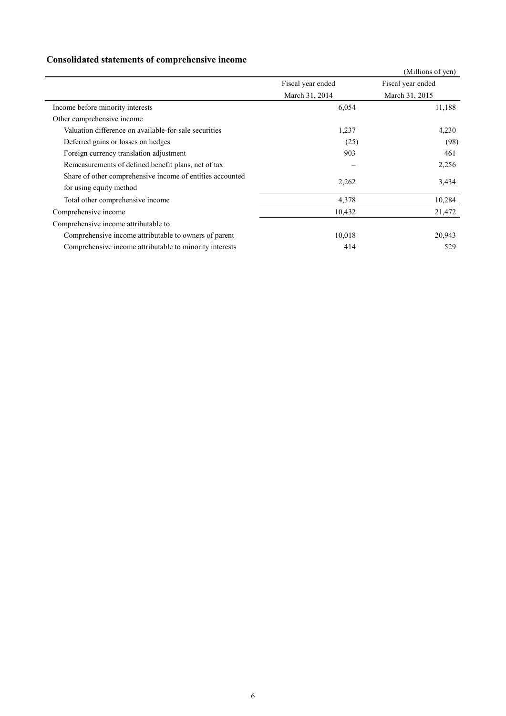### **Consolidated statements of comprehensive income**

|                                                                                      |                   | (Millions of yen) |
|--------------------------------------------------------------------------------------|-------------------|-------------------|
|                                                                                      | Fiscal year ended | Fiscal year ended |
|                                                                                      | March 31, 2014    | March 31, 2015    |
| Income before minority interests                                                     | 6,054             | 11,188            |
| Other comprehensive income                                                           |                   |                   |
| Valuation difference on available-for-sale securities                                | 1,237             | 4,230             |
| Deferred gains or losses on hedges                                                   | (25)              | (98)              |
| Foreign currency translation adjustment                                              | 903               | 461               |
| Remeasurements of defined benefit plans, net of tax                                  |                   | 2,256             |
| Share of other comprehensive income of entities accounted<br>for using equity method | 2,262             | 3,434             |
| Total other comprehensive income                                                     | 4,378             | 10,284            |
| Comprehensive income                                                                 | 10,432            | 21,472            |
| Comprehensive income attributable to                                                 |                   |                   |
| Comprehensive income attributable to owners of parent                                | 10,018            | 20,943            |
| Comprehensive income attributable to minority interests                              | 414               | 529               |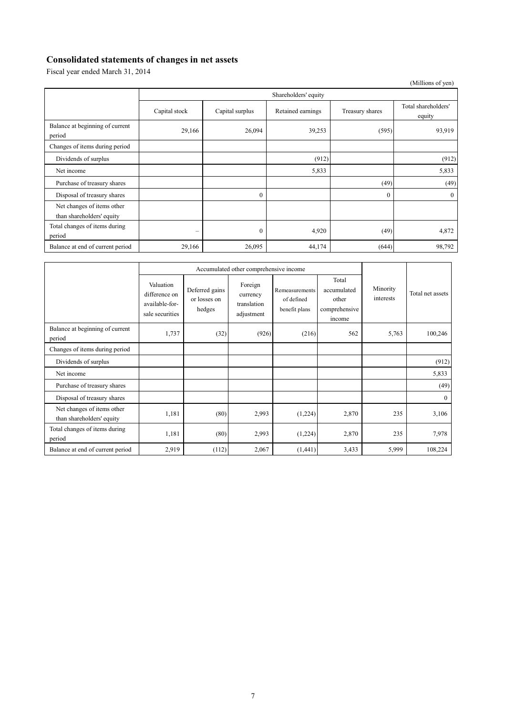### **Consolidated statements of changes in net assets**

Fiscal year ended March 31, 2014

|                                                         |                          |                 |                   |                 | (Millions of yen)             |  |  |
|---------------------------------------------------------|--------------------------|-----------------|-------------------|-----------------|-------------------------------|--|--|
|                                                         | Shareholders' equity     |                 |                   |                 |                               |  |  |
|                                                         | Capital stock            | Capital surplus | Retained earnings | Treasury shares | Total shareholders'<br>equity |  |  |
| Balance at beginning of current<br>period               | 29,166                   | 26,094          | 39,253            | (595)           | 93,919                        |  |  |
| Changes of items during period                          |                          |                 |                   |                 |                               |  |  |
| Dividends of surplus                                    |                          |                 | (912)             |                 | (912)                         |  |  |
| Net income                                              |                          |                 | 5,833             |                 | 5,833                         |  |  |
| Purchase of treasury shares                             |                          |                 |                   | (49)            | (49)                          |  |  |
| Disposal of treasury shares                             |                          | $\theta$        |                   | $\theta$        | $\mathbf{0}$                  |  |  |
| Net changes of items other<br>than shareholders' equity |                          |                 |                   |                 |                               |  |  |
| Total changes of items during<br>period                 | $\overline{\phantom{a}}$ | $\mathbf{0}$    | 4,920             | (49)            | 4,872                         |  |  |
| Balance at end of current period                        | 29,166                   | 26,095          | 44,174            | (644)           | 98,792                        |  |  |

|                                                         | Accumulated other comprehensive income                          |                                          |                                                  |                                               |                                                          |                       |                  |
|---------------------------------------------------------|-----------------------------------------------------------------|------------------------------------------|--------------------------------------------------|-----------------------------------------------|----------------------------------------------------------|-----------------------|------------------|
|                                                         | Valuation<br>difference on<br>available-for-<br>sale securities | Deferred gains<br>or losses on<br>hedges | Foreign<br>currency<br>translation<br>adjustment | Remeasurements<br>of defined<br>benefit plans | Total<br>accumulated<br>other<br>comprehensive<br>income | Minority<br>interests | Total net assets |
| Balance at beginning of current<br>period               | 1,737                                                           | (32)                                     | (926)                                            | (216)                                         | 562                                                      | 5,763                 | 100,246          |
| Changes of items during period                          |                                                                 |                                          |                                                  |                                               |                                                          |                       |                  |
| Dividends of surplus                                    |                                                                 |                                          |                                                  |                                               |                                                          |                       | (912)            |
| Net income                                              |                                                                 |                                          |                                                  |                                               |                                                          |                       | 5,833            |
| Purchase of treasury shares                             |                                                                 |                                          |                                                  |                                               |                                                          |                       | (49)             |
| Disposal of treasury shares                             |                                                                 |                                          |                                                  |                                               |                                                          |                       | $\mathbf{0}$     |
| Net changes of items other<br>than shareholders' equity | 1,181                                                           | (80)                                     | 2,993                                            | (1,224)                                       | 2,870                                                    | 235                   | 3,106            |
| Total changes of items during<br>period                 | 1,181                                                           | (80)                                     | 2,993                                            | (1,224)                                       | 2,870                                                    | 235                   | 7,978            |
| Balance at end of current period                        | 2,919                                                           | (112)                                    | 2,067                                            | (1,441)                                       | 3,433                                                    | 5,999                 | 108,224          |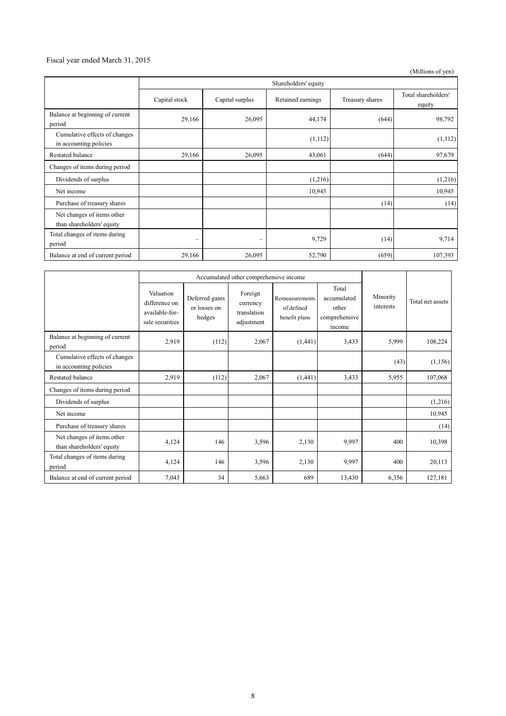#### Fiscal year ended March 31, 2015

(Millions of yen)

|                                                         | Shareholders' equity |                 |                   |                 |                               |  |
|---------------------------------------------------------|----------------------|-----------------|-------------------|-----------------|-------------------------------|--|
|                                                         | Capital stock        | Capital surplus | Retained earnings | Treasury shares | Total shareholders'<br>equity |  |
| Balance at beginning of current<br>period               | 29,166               | 26,095          | 44,174            | (644)           | 98,792                        |  |
| Cumulative effects of changes<br>in accounting policies |                      |                 | (1,112)           |                 | (1,112)                       |  |
| Restated balance                                        | 29,166               | 26,095          | 43,061            | (644)           | 97,679                        |  |
| Changes of items during period                          |                      |                 |                   |                 |                               |  |
| Dividends of surplus                                    |                      |                 | (1,216)           |                 | (1,216)                       |  |
| Net income                                              |                      |                 | 10,945            |                 | 10,945                        |  |
| Purchase of treasury shares                             |                      |                 |                   | (14)            | (14)                          |  |
| Net changes of items other<br>than shareholders' equity |                      |                 |                   |                 |                               |  |
| Total changes of items during<br>period                 | -                    | -               | 9,729             | (14)            | 9,714                         |  |
| Balance at end of current period                        | 29,166               | 26,095          | 52,790            | (659)           | 107,393                       |  |

|                                                         | Accumulated other comprehensive income                          |                                          |                                                  |                                               |                                                          |                       |                  |
|---------------------------------------------------------|-----------------------------------------------------------------|------------------------------------------|--------------------------------------------------|-----------------------------------------------|----------------------------------------------------------|-----------------------|------------------|
|                                                         | Valuation<br>difference on<br>available-for-<br>sale securities | Deferred gains<br>or losses on<br>hedges | Foreign<br>currency<br>translation<br>adjustment | Remeasurements<br>of defined<br>benefit plans | Total<br>accumulated<br>other<br>comprehensive<br>income | Minority<br>interests | Total net assets |
| Balance at beginning of current<br>period               | 2,919                                                           | (112)                                    | 2,067                                            | (1,441)                                       | 3,433                                                    | 5,999                 | 108,224          |
| Cumulative effects of changes<br>in accounting policies |                                                                 |                                          |                                                  |                                               |                                                          | (43)                  | (1, 156)         |
| <b>Restated balance</b>                                 | 2,919                                                           | (112)                                    | 2,067                                            | (1,441)                                       | 3,433                                                    | 5,955                 | 107,068          |
| Changes of items during period                          |                                                                 |                                          |                                                  |                                               |                                                          |                       |                  |
| Dividends of surplus                                    |                                                                 |                                          |                                                  |                                               |                                                          |                       | (1,216)          |
| Net income                                              |                                                                 |                                          |                                                  |                                               |                                                          |                       | 10,945           |
| Purchase of treasury shares                             |                                                                 |                                          |                                                  |                                               |                                                          |                       | (14)             |
| Net changes of items other<br>than shareholders' equity | 4,124                                                           | 146                                      | 3,596                                            | 2,130                                         | 9,997                                                    | 400                   | 10,398           |
| Total changes of items during<br>period                 | 4,124                                                           | 146                                      | 3,596                                            | 2,130                                         | 9,997                                                    | 400                   | 20,113           |
| Balance at end of current period                        | 7,043                                                           | 34                                       | 5,663                                            | 689                                           | 13,430                                                   | 6,356                 | 127,181          |